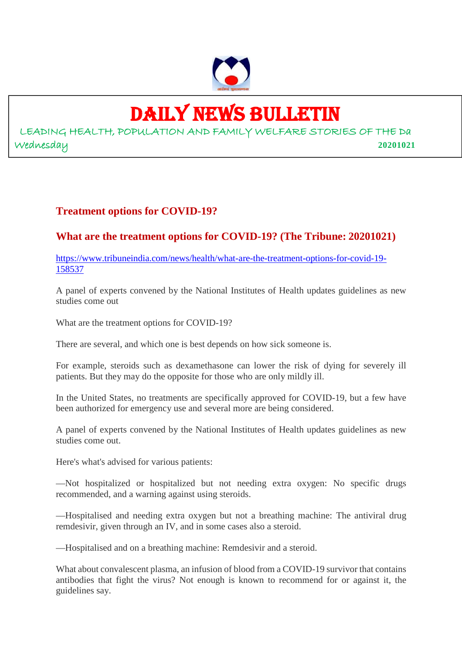

### DAILY NEWS BULLETIN

LEADING HEALTH, POPULATION AND FAMILY WELFARE STORIES OF THE Da Wednesday **20201021**

#### **Treatment options for COVID-19?**

#### **What are the treatment options for COVID-19? (The Tribune: 20201021)**

https://www.tribuneindia.com/news/health/what-are-the-treatment-options-for-covid-19- 158537

A panel of experts convened by the National Institutes of Health updates guidelines as new studies come out

What are the treatment options for COVID-19?

There are several, and which one is best depends on how sick someone is.

For example, steroids such as dexamethasone can lower the risk of dying for severely ill patients. But they may do the opposite for those who are only mildly ill.

In the United States, no treatments are specifically approved for COVID-19, but a few have been authorized for emergency use and several more are being considered.

A panel of experts convened by the National Institutes of Health updates guidelines as new studies come out.

Here's what's advised for various patients:

—Not hospitalized or hospitalized but not needing extra oxygen: No specific drugs recommended, and a warning against using steroids.

—Hospitalised and needing extra oxygen but not a breathing machine: The antiviral drug remdesivir, given through an IV, and in some cases also a steroid.

—Hospitalised and on a breathing machine: Remdesivir and a steroid.

What about convalescent plasma, an infusion of blood from a COVID-19 survivor that contains antibodies that fight the virus? Not enough is known to recommend for or against it, the guidelines say.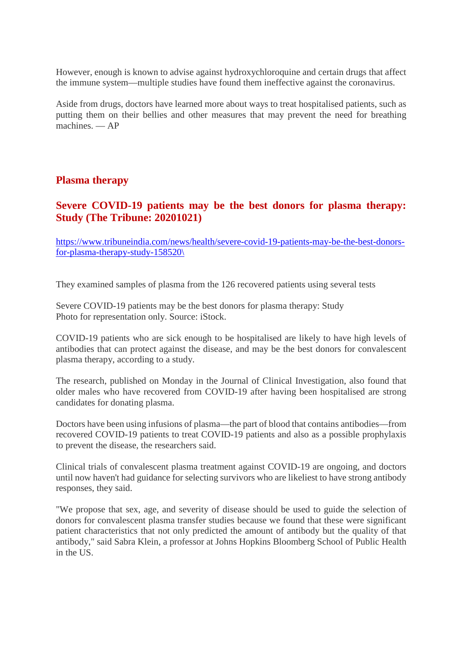However, enough is known to advise against hydroxychloroquine and certain drugs that affect the immune system—multiple studies have found them ineffective against the coronavirus.

Aside from drugs, doctors have learned more about ways to treat hospitalised patients, such as putting them on their bellies and other measures that may prevent the need for breathing machines. — AP

#### **Plasma therapy**

#### **Severe COVID-19 patients may be the best donors for plasma therapy: Study (The Tribune: 20201021)**

https://www.tribuneindia.com/news/health/severe-covid-19-patients-may-be-the-best-donorsfor-plasma-therapy-study-158520\

They examined samples of plasma from the 126 recovered patients using several tests

Severe COVID-19 patients may be the best donors for plasma therapy: Study Photo for representation only. Source: iStock.

COVID-19 patients who are sick enough to be hospitalised are likely to have high levels of antibodies that can protect against the disease, and may be the best donors for convalescent plasma therapy, according to a study.

The research, published on Monday in the Journal of Clinical Investigation, also found that older males who have recovered from COVID-19 after having been hospitalised are strong candidates for donating plasma.

Doctors have been using infusions of plasma—the part of blood that contains antibodies—from recovered COVID-19 patients to treat COVID-19 patients and also as a possible prophylaxis to prevent the disease, the researchers said.

Clinical trials of convalescent plasma treatment against COVID-19 are ongoing, and doctors until now haven't had guidance for selecting survivors who are likeliest to have strong antibody responses, they said.

"We propose that sex, age, and severity of disease should be used to guide the selection of donors for convalescent plasma transfer studies because we found that these were significant patient characteristics that not only predicted the amount of antibody but the quality of that antibody," said Sabra Klein, a professor at Johns Hopkins Bloomberg School of Public Health in the US.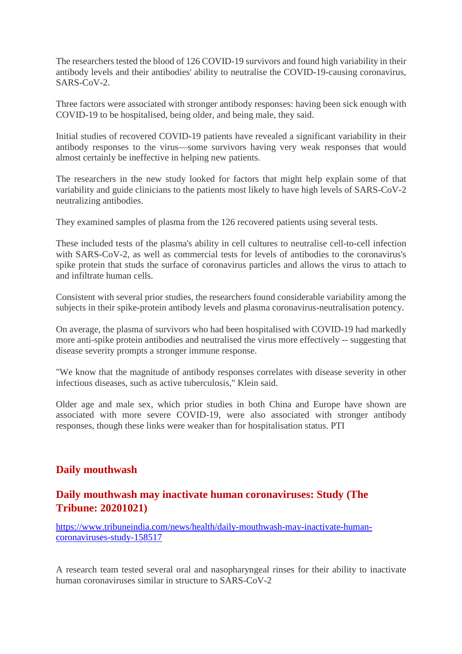The researchers tested the blood of 126 COVID-19 survivors and found high variability in their antibody levels and their antibodies' ability to neutralise the COVID-19-causing coronavirus, SARS-CoV-2.

Three factors were associated with stronger antibody responses: having been sick enough with COVID-19 to be hospitalised, being older, and being male, they said.

Initial studies of recovered COVID-19 patients have revealed a significant variability in their antibody responses to the virus—some survivors having very weak responses that would almost certainly be ineffective in helping new patients.

The researchers in the new study looked for factors that might help explain some of that variability and guide clinicians to the patients most likely to have high levels of SARS-CoV-2 neutralizing antibodies.

They examined samples of plasma from the 126 recovered patients using several tests.

These included tests of the plasma's ability in cell cultures to neutralise cell-to-cell infection with SARS-CoV-2, as well as commercial tests for levels of antibodies to the coronavirus's spike protein that studs the surface of coronavirus particles and allows the virus to attach to and infiltrate human cells.

Consistent with several prior studies, the researchers found considerable variability among the subjects in their spike-protein antibody levels and plasma coronavirus-neutralisation potency.

On average, the plasma of survivors who had been hospitalised with COVID-19 had markedly more anti-spike protein antibodies and neutralised the virus more effectively -- suggesting that disease severity prompts a stronger immune response.

"We know that the magnitude of antibody responses correlates with disease severity in other infectious diseases, such as active tuberculosis," Klein said.

Older age and male sex, which prior studies in both China and Europe have shown are associated with more severe COVID-19, were also associated with stronger antibody responses, though these links were weaker than for hospitalisation status. PTI

#### **Daily mouthwash**

#### **Daily mouthwash may inactivate human coronaviruses: Study (The Tribune: 20201021)**

https://www.tribuneindia.com/news/health/daily-mouthwash-may-inactivate-humancoronaviruses-study-158517

A research team tested several oral and nasopharyngeal rinses for their ability to inactivate human coronaviruses similar in structure to SARS-CoV-2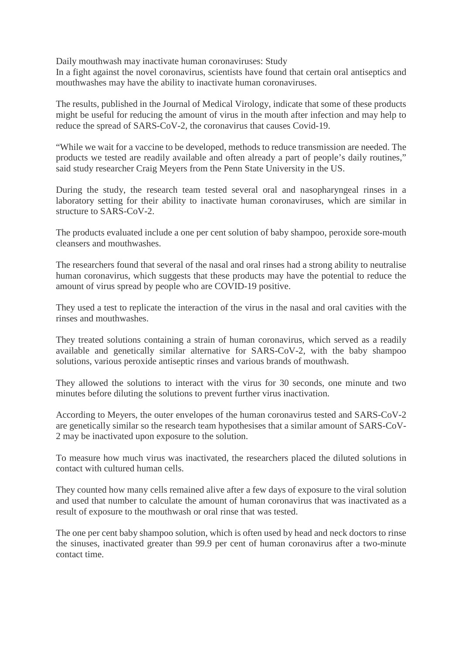Daily mouthwash may inactivate human coronaviruses: Study

In a fight against the novel coronavirus, scientists have found that certain oral antiseptics and mouthwashes may have the ability to inactivate human coronaviruses.

The results, published in the Journal of Medical Virology, indicate that some of these products might be useful for reducing the amount of virus in the mouth after infection and may help to reduce the spread of SARS-CoV-2, the coronavirus that causes Covid-19.

"While we wait for a vaccine to be developed, methods to reduce transmission are needed. The products we tested are readily available and often already a part of people's daily routines," said study researcher Craig Meyers from the Penn State University in the US.

During the study, the research team tested several oral and nasopharyngeal rinses in a laboratory setting for their ability to inactivate human coronaviruses, which are similar in structure to SARS-CoV-2.

The products evaluated include a one per cent solution of baby shampoo, peroxide sore-mouth cleansers and mouthwashes.

The researchers found that several of the nasal and oral rinses had a strong ability to neutralise human coronavirus, which suggests that these products may have the potential to reduce the amount of virus spread by people who are COVID-19 positive.

They used a test to replicate the interaction of the virus in the nasal and oral cavities with the rinses and mouthwashes.

They treated solutions containing a strain of human coronavirus, which served as a readily available and genetically similar alternative for SARS-CoV-2, with the baby shampoo solutions, various peroxide antiseptic rinses and various brands of mouthwash.

They allowed the solutions to interact with the virus for 30 seconds, one minute and two minutes before diluting the solutions to prevent further virus inactivation.

According to Meyers, the outer envelopes of the human coronavirus tested and SARS-CoV-2 are genetically similar so the research team hypothesises that a similar amount of SARS-CoV-2 may be inactivated upon exposure to the solution.

To measure how much virus was inactivated, the researchers placed the diluted solutions in contact with cultured human cells.

They counted how many cells remained alive after a few days of exposure to the viral solution and used that number to calculate the amount of human coronavirus that was inactivated as a result of exposure to the mouthwash or oral rinse that was tested.

The one per cent baby shampoo solution, which is often used by head and neck doctors to rinse the sinuses, inactivated greater than 99.9 per cent of human coronavirus after a two-minute contact time.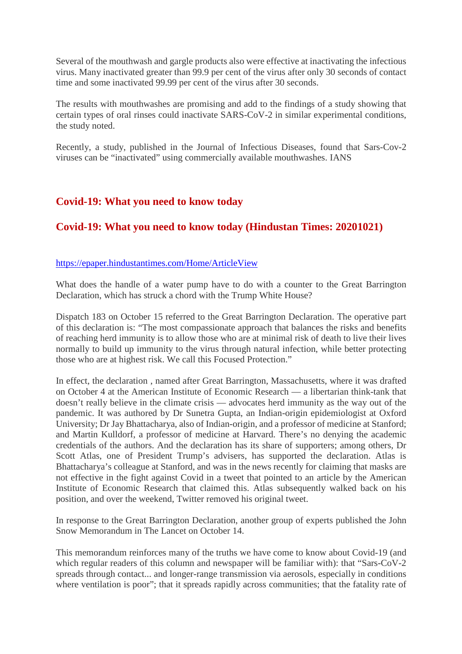Several of the mouthwash and gargle products also were effective at inactivating the infectious virus. Many inactivated greater than 99.9 per cent of the virus after only 30 seconds of contact time and some inactivated 99.99 per cent of the virus after 30 seconds.

The results with mouthwashes are promising and add to the findings of a study showing that certain types of oral rinses could inactivate SARS-CoV-2 in similar experimental conditions, the study noted.

Recently, a study, published in the Journal of Infectious Diseases, found that Sars-Cov-2 viruses can be "inactivated" using commercially available mouthwashes. IANS

#### **Covid-19: What you need to know today**

#### **Covid-19: What you need to know today (Hindustan Times: 20201021)**

#### https://epaper.hindustantimes.com/Home/ArticleView

What does the handle of a water pump have to do with a counter to the Great Barrington Declaration, which has struck a chord with the Trump White House?

Dispatch 183 on October 15 referred to the Great Barrington Declaration. The operative part of this declaration is: "The most compassionate approach that balances the risks and benefits of reaching herd immunity is to allow those who are at minimal risk of death to live their lives normally to build up immunity to the virus through natural infection, while better protecting those who are at highest risk. We call this Focused Protection."

In effect, the declaration , named after Great Barrington, Massachusetts, where it was drafted on October 4 at the American Institute of Economic Research — a libertarian think-tank that doesn't really believe in the climate crisis — advocates herd immunity as the way out of the pandemic. It was authored by Dr Sunetra Gupta, an Indian-origin epidemiologist at Oxford University; Dr Jay Bhattacharya, also of Indian-origin, and a professor of medicine at Stanford; and Martin Kulldorf, a professor of medicine at Harvard. There's no denying the academic credentials of the authors. And the declaration has its share of supporters; among others, Dr Scott Atlas, one of President Trump's advisers, has supported the declaration. Atlas is Bhattacharya's colleague at Stanford, and was in the news recently for claiming that masks are not effective in the fight against Covid in a tweet that pointed to an article by the American Institute of Economic Research that claimed this. Atlas subsequently walked back on his position, and over the weekend, Twitter removed his original tweet.

In response to the Great Barrington Declaration, another group of experts published the John Snow Memorandum in The Lancet on October 14.

This memorandum reinforces many of the truths we have come to know about Covid-19 (and which regular readers of this column and newspaper will be familiar with): that "Sars-CoV-2 spreads through contact... and longer-range transmission via aerosols, especially in conditions where ventilation is poor"; that it spreads rapidly across communities; that the fatality rate of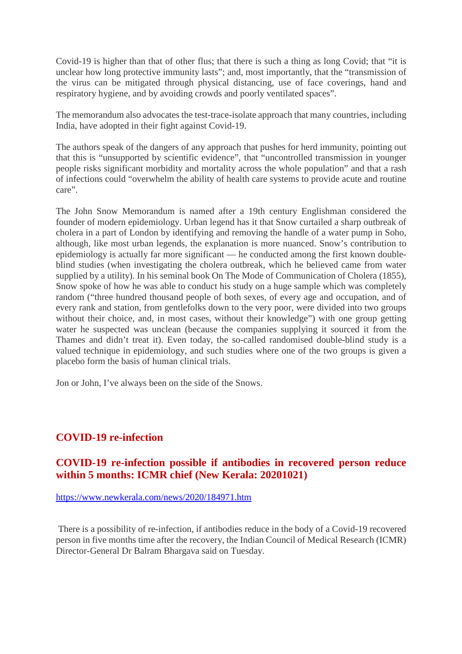Covid-19 is higher than that of other flus; that there is such a thing as long Covid; that "it is unclear how long protective immunity lasts"; and, most importantly, that the "transmission of the virus can be mitigated through physical distancing, use of face coverings, hand and respiratory hygiene, and by avoiding crowds and poorly ventilated spaces".

The memorandum also advocates the test-trace-isolate approach that many countries, including India, have adopted in their fight against Covid-19.

The authors speak of the dangers of any approach that pushes for herd immunity, pointing out that this is "unsupported by scientific evidence", that "uncontrolled transmission in younger people risks significant morbidity and mortality across the whole population" and that a rash of infections could "overwhelm the ability of health care systems to provide acute and routine care".

The John Snow Memorandum is named after a 19th century Englishman considered the founder of modern epidemiology. Urban legend has it that Snow curtailed a sharp outbreak of cholera in a part of London by identifying and removing the handle of a water pump in Soho, although, like most urban legends, the explanation is more nuanced. Snow's contribution to epidemiology is actually far more significant — he conducted among the first known doubleblind studies (when investigating the cholera outbreak, which he believed came from water supplied by a utility). In his seminal book On The Mode of Communication of Cholera (1855), Snow spoke of how he was able to conduct his study on a huge sample which was completely random ("three hundred thousand people of both sexes, of every age and occupation, and of every rank and station, from gentlefolks down to the very poor, were divided into two groups without their choice, and, in most cases, without their knowledge") with one group getting water he suspected was unclean (because the companies supplying it sourced it from the Thames and didn't treat it). Even today, the so-called randomised double-blind study is a valued technique in epidemiology, and such studies where one of the two groups is given a placebo form the basis of human clinical trials.

Jon or John, I've always been on the side of the Snows.

#### **COVID-19 re-infection**

#### **COVID-19 re-infection possible if antibodies in recovered person reduce within 5 months: ICMR chief (New Kerala: 20201021)**

https://www.newkerala.com/news/2020/184971.htm

There is a possibility of re-infection, if antibodies reduce in the body of a Covid-19 recovered person in five months time after the recovery, the Indian Council of Medical Research (ICMR) Director-General Dr Balram Bhargava said on Tuesday.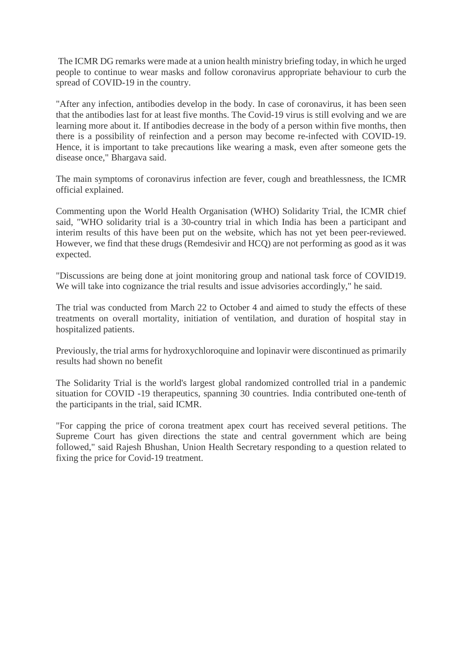The ICMR DG remarks were made at a union health ministry briefing today, in which he urged people to continue to wear masks and follow coronavirus appropriate behaviour to curb the spread of COVID-19 in the country.

"After any infection, antibodies develop in the body. In case of coronavirus, it has been seen that the antibodies last for at least five months. The Covid-19 virus is still evolving and we are learning more about it. If antibodies decrease in the body of a person within five months, then there is a possibility of reinfection and a person may become re-infected with COVID-19. Hence, it is important to take precautions like wearing a mask, even after someone gets the disease once," Bhargava said.

The main symptoms of coronavirus infection are fever, cough and breathlessness, the ICMR official explained.

Commenting upon the World Health Organisation (WHO) Solidarity Trial, the ICMR chief said, "WHO solidarity trial is a 30-country trial in which India has been a participant and interim results of this have been put on the website, which has not yet been peer-reviewed. However, we find that these drugs (Remdesivir and HCQ) are not performing as good as it was expected.

"Discussions are being done at joint monitoring group and national task force of COVID19. We will take into cognizance the trial results and issue advisories accordingly," he said.

The trial was conducted from March 22 to October 4 and aimed to study the effects of these treatments on overall mortality, initiation of ventilation, and duration of hospital stay in hospitalized patients.

Previously, the trial arms for hydroxychloroquine and lopinavir were discontinued as primarily results had shown no benefit

The Solidarity Trial is the world's largest global randomized controlled trial in a pandemic situation for COVID -19 therapeutics, spanning 30 countries. India contributed one-tenth of the participants in the trial, said ICMR.

"For capping the price of corona treatment apex court has received several petitions. The Supreme Court has given directions the state and central government which are being followed," said Rajesh Bhushan, Union Health Secretary responding to a question related to fixing the price for Covid-19 treatment.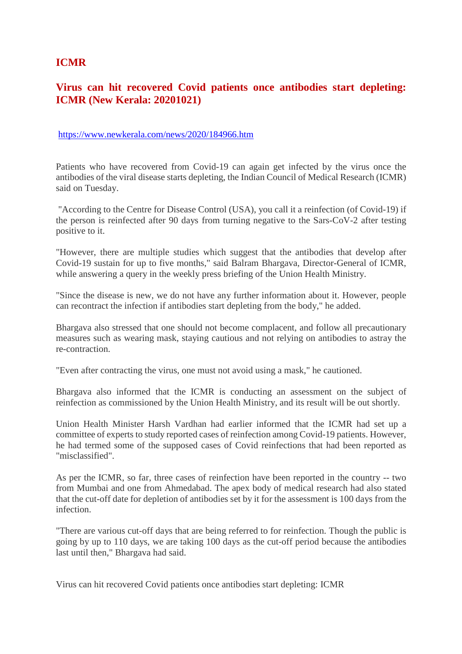#### **ICMR**

#### **Virus can hit recovered Covid patients once antibodies start depleting: ICMR (New Kerala: 20201021)**

#### https://www.newkerala.com/news/2020/184966.htm

Patients who have recovered from Covid-19 can again get infected by the virus once the antibodies of the viral disease starts depleting, the Indian Council of Medical Research (ICMR) said on Tuesday.

"According to the Centre for Disease Control (USA), you call it a reinfection (of Covid-19) if the person is reinfected after 90 days from turning negative to the Sars-CoV-2 after testing positive to it.

"However, there are multiple studies which suggest that the antibodies that develop after Covid-19 sustain for up to five months," said Balram Bhargava, Director-General of ICMR, while answering a query in the weekly press briefing of the Union Health Ministry.

"Since the disease is new, we do not have any further information about it. However, people can recontract the infection if antibodies start depleting from the body," he added.

Bhargava also stressed that one should not become complacent, and follow all precautionary measures such as wearing mask, staying cautious and not relying on antibodies to astray the re-contraction.

"Even after contracting the virus, one must not avoid using a mask," he cautioned.

Bhargava also informed that the ICMR is conducting an assessment on the subject of reinfection as commissioned by the Union Health Ministry, and its result will be out shortly.

Union Health Minister Harsh Vardhan had earlier informed that the ICMR had set up a committee of experts to study reported cases of reinfection among Covid-19 patients. However, he had termed some of the supposed cases of Covid reinfections that had been reported as "misclassified".

As per the ICMR, so far, three cases of reinfection have been reported in the country -- two from Mumbai and one from Ahmedabad. The apex body of medical research had also stated that the cut-off date for depletion of antibodies set by it for the assessment is 100 days from the infection.

"There are various cut-off days that are being referred to for reinfection. Though the public is going by up to 110 days, we are taking 100 days as the cut-off period because the antibodies last until then," Bhargava had said.

Virus can hit recovered Covid patients once antibodies start depleting: ICMR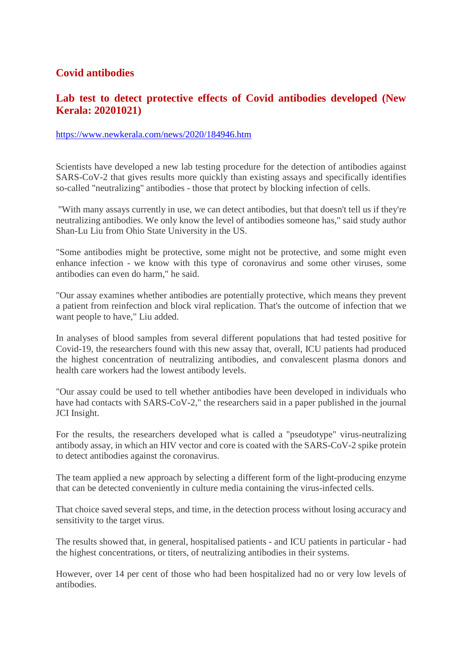#### **Covid antibodies**

#### **Lab test to detect protective effects of Covid antibodies developed (New Kerala: 20201021)**

#### https://www.newkerala.com/news/2020/184946.htm

Scientists have developed a new lab testing procedure for the detection of antibodies against SARS-CoV-2 that gives results more quickly than existing assays and specifically identifies so-called "neutralizing" antibodies - those that protect by blocking infection of cells.

"With many assays currently in use, we can detect antibodies, but that doesn't tell us if they're neutralizing antibodies. We only know the level of antibodies someone has," said study author Shan-Lu Liu from Ohio State University in the US.

"Some antibodies might be protective, some might not be protective, and some might even enhance infection - we know with this type of coronavirus and some other viruses, some antibodies can even do harm," he said.

"Our assay examines whether antibodies are potentially protective, which means they prevent a patient from reinfection and block viral replication. That's the outcome of infection that we want people to have," Liu added.

In analyses of blood samples from several different populations that had tested positive for Covid-19, the researchers found with this new assay that, overall, ICU patients had produced the highest concentration of neutralizing antibodies, and convalescent plasma donors and health care workers had the lowest antibody levels.

"Our assay could be used to tell whether antibodies have been developed in individuals who have had contacts with SARS-CoV-2," the researchers said in a paper published in the journal JCI Insight.

For the results, the researchers developed what is called a "pseudotype" virus-neutralizing antibody assay, in which an HIV vector and core is coated with the SARS-CoV-2 spike protein to detect antibodies against the coronavirus.

The team applied a new approach by selecting a different form of the light-producing enzyme that can be detected conveniently in culture media containing the virus-infected cells.

That choice saved several steps, and time, in the detection process without losing accuracy and sensitivity to the target virus.

The results showed that, in general, hospitalised patients - and ICU patients in particular - had the highest concentrations, or titers, of neutralizing antibodies in their systems.

However, over 14 per cent of those who had been hospitalized had no or very low levels of antibodies.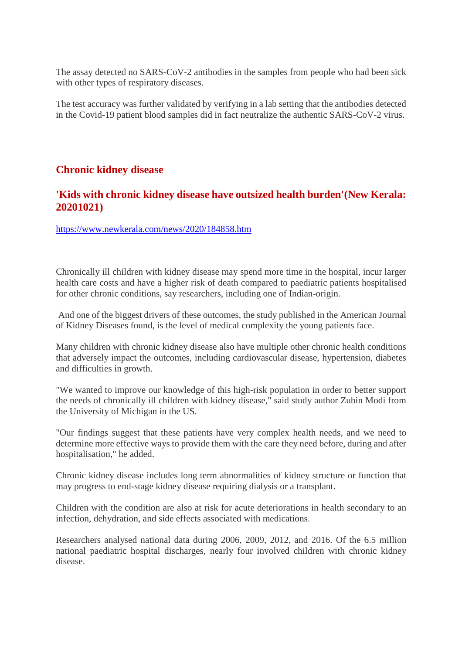The assay detected no SARS-CoV-2 antibodies in the samples from people who had been sick with other types of respiratory diseases.

The test accuracy was further validated by verifying in a lab setting that the antibodies detected in the Covid-19 patient blood samples did in fact neutralize the authentic SARS-CoV-2 virus.

#### **Chronic kidney disease**

#### **'Kids with chronic kidney disease have outsized health burden'(New Kerala: 20201021)**

https://www.newkerala.com/news/2020/184858.htm

Chronically ill children with kidney disease may spend more time in the hospital, incur larger health care costs and have a higher risk of death compared to paediatric patients hospitalised for other chronic conditions, say researchers, including one of Indian-origin.

And one of the biggest drivers of these outcomes, the study published in the American Journal of Kidney Diseases found, is the level of medical complexity the young patients face.

Many children with chronic kidney disease also have multiple other chronic health conditions that adversely impact the outcomes, including cardiovascular disease, hypertension, diabetes and difficulties in growth.

"We wanted to improve our knowledge of this high-risk population in order to better support the needs of chronically ill children with kidney disease," said study author Zubin Modi from the University of Michigan in the US.

"Our findings suggest that these patients have very complex health needs, and we need to determine more effective ways to provide them with the care they need before, during and after hospitalisation," he added.

Chronic kidney disease includes long term abnormalities of kidney structure or function that may progress to end-stage kidney disease requiring dialysis or a transplant.

Children with the condition are also at risk for acute deteriorations in health secondary to an infection, dehydration, and side effects associated with medications.

Researchers analysed national data during 2006, 2009, 2012, and 2016. Of the 6.5 million national paediatric hospital discharges, nearly four involved children with chronic kidney disease.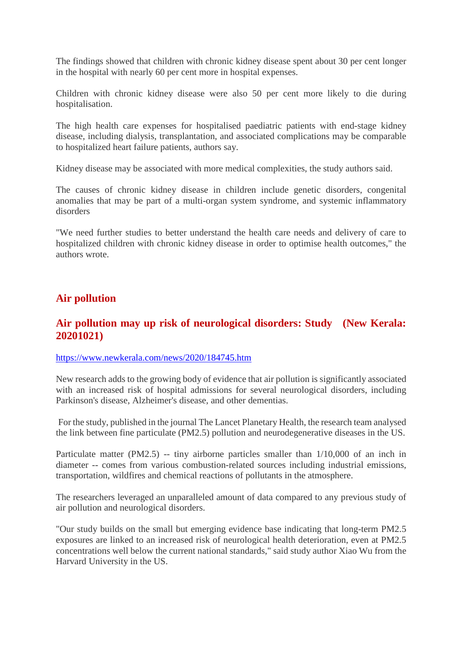The findings showed that children with chronic kidney disease spent about 30 per cent longer in the hospital with nearly 60 per cent more in hospital expenses.

Children with chronic kidney disease were also 50 per cent more likely to die during hospitalisation.

The high health care expenses for hospitalised paediatric patients with end-stage kidney disease, including dialysis, transplantation, and associated complications may be comparable to hospitalized heart failure patients, authors say.

Kidney disease may be associated with more medical complexities, the study authors said.

The causes of chronic kidney disease in children include genetic disorders, congenital anomalies that may be part of a multi-organ system syndrome, and systemic inflammatory disorders

"We need further studies to better understand the health care needs and delivery of care to hospitalized children with chronic kidney disease in order to optimise health outcomes," the authors wrote.

#### **Air pollution**

#### **Air pollution may up risk of neurological disorders: Study (New Kerala: 20201021)**

#### https://www.newkerala.com/news/2020/184745.htm

New research adds to the growing body of evidence that air pollution is significantly associated with an increased risk of hospital admissions for several neurological disorders, including Parkinson's disease, Alzheimer's disease, and other dementias.

For the study, published in the journal The Lancet Planetary Health, the research team analysed the link between fine particulate (PM2.5) pollution and neurodegenerative diseases in the US.

Particulate matter (PM2.5) -- tiny airborne particles smaller than  $1/10,000$  of an inch in diameter -- comes from various combustion-related sources including industrial emissions, transportation, wildfires and chemical reactions of pollutants in the atmosphere.

The researchers leveraged an unparalleled amount of data compared to any previous study of air pollution and neurological disorders.

"Our study builds on the small but emerging evidence base indicating that long-term PM2.5 exposures are linked to an increased risk of neurological health deterioration, even at PM2.5 concentrations well below the current national standards," said study author Xiao Wu from the Harvard University in the US.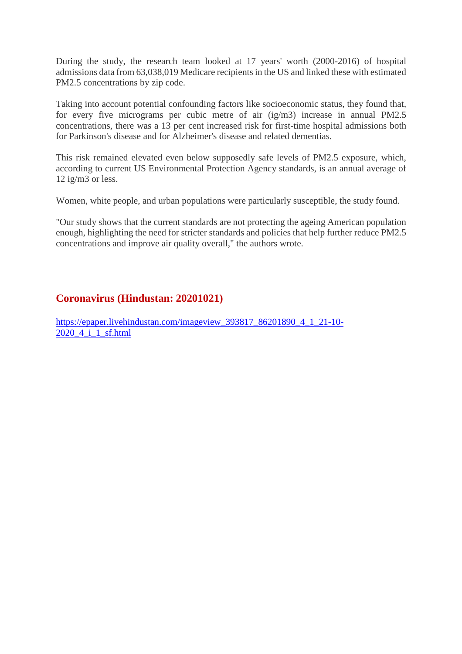During the study, the research team looked at 17 years' worth (2000-2016) of hospital admissions data from 63,038,019 Medicare recipients in the US and linked these with estimated PM2.5 concentrations by zip code.

Taking into account potential confounding factors like socioeconomic status, they found that, for every five micrograms per cubic metre of air (ig/m3) increase in annual PM2.5 concentrations, there was a 13 per cent increased risk for first-time hospital admissions both for Parkinson's disease and for Alzheimer's disease and related dementias.

This risk remained elevated even below supposedly safe levels of PM2.5 exposure, which, according to current US Environmental Protection Agency standards, is an annual average of 12 ig/m3 or less.

Women, white people, and urban populations were particularly susceptible, the study found.

"Our study shows that the current standards are not protecting the ageing American population enough, highlighting the need for stricter standards and policies that help further reduce PM2.5 concentrations and improve air quality overall," the authors wrote.

#### **Coronavirus (Hindustan: 20201021)**

https://epaper.livehindustan.com/imageview\_393817\_86201890\_4\_1\_21-10- 2020\_4\_i\_1\_sf.html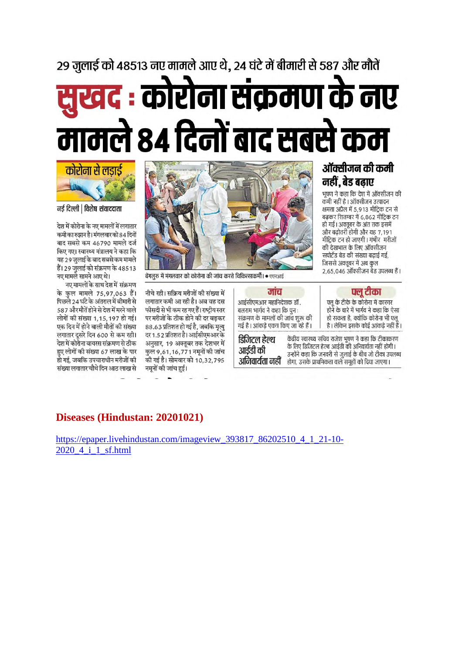# 29 जुलाई को 48513 नए मामले आए थे, 24 घंटे में बीमारी से 587 और मौतें खद : कोरोना संक्रमण के नए मामले ८४ दिनों बाद सबसे कम



नई दिल्ली | विशेष संवाददाता

देश में कोरोना के नए मामलों में लगातार कमी का रुझान है। मंगलवार को 84 दिनों बाद सबसे कम 46790 मामले दर्ज किए गए। स्वास्थ्य मंत्रालय ने कहा कि यह 29 जुलाई के बाद सबसे कम मामले हैं। 29 जुलाई को संक्रमण के 48513 नए मामले सामने आए थे।

नए मामलों के साथ देश में संक्रमण के कुल मामले 75,97,063 हैं। पिछले 24 घंटे के अंतराल में बीमारी से 587 और मौतें होने से देश में मरने वाले लोगों की संख्या 1,15,197 हो गई। एक दिन में होने वाली मौतों की संख्या लगातार दूसरे दिन 600 से कम रही। देश में कोरोना वायरस संक्रमण से ठीक हुए लोगों की संख्या 67 लाख के पार हो गई, जबकि उपचाराधीन मरीजों की संख्या लगातार चौथे दिन आठ लाख से



बेंगलुरु में मंगलवार को कोरोना की जांच करते चिकित्साकर्मी। • एएनआई

नीचे रही। सक्रिय मरीजों की संख्या में लगातार कमी आ रही है। अब वह दस फीसदी से भी कम रह गए हैं। राष्टीय स्तर पर मरीजों के ठीक होने की दर बढ़कर 88.63 प्रतिशत हो गई है, जबकि मृत्यु दर 1.52 प्रतिशत है। आईसीएमआर के अनुसार, 19 अक्तूबर तक देशभर में कुल 9,61,16,771 नमूनों की जांच की गई है। सोमवार को 10,32,795 नमूनों की जांच हुई।

जांच आईसीएमआर महानिदेशक डॉ. बलराम भार्गव ने कहा कि पुन: संक्रमण के मामलों की जांच शुरू की गई है। आंकडे एकत्र किए जा रहे हैं।

डिजिटल हेल्थ आईडी की अनिवार्यता नहीं होगा, उसके प्राथमिकता वाले समूहों को दिया जाएगा।

#### ऑक्सीजन की कमी नहीं, बेड बढाए

भूषण ने कहा कि देश में ऑक्सीजन की कमी नहीं है। ऑक्सीजन उत्पादन क्षमता अप्रैल में 5,913 मीटिक टन से बढ़कर सितम्बर में 6,862 मीट्रिक टन हो गई। अक्तूबर के अंत तक इसमें और बढोतरी होगी और यह 7,191 मीट्रिक टन हो जाएगी। गंभीर मरीजों की देखभाल के लिए ऑक्सीजन सपोर्टेड बेड की संख्या बढाई गई. जिससे अक्तूबर में अब कुल 2,65,046 ऑक्सीजन बेड उपलब्ध हैं।

फ्लू टीका

फ्लू के टीके के कोरोना में कारगर होने के बारे में भार्गव ने कहा कि ऐसा हो सकता है, क्योंकि कोरोना भी फ्लू है। लेकिन इसके कोई आंकडे नहीं हैं।

केंद्रीय स्वास्थ्य सचिव राजेश भषण ने कहा कि टीकाकरण के लिए डिजिटल हेल्थ आईडी की अनिवार्यता नहीं होगी। उन्होंने कहा कि जनवरी से जुलाई के बीच जो टीका उपलब्ध

**Diseases (Hindustan: 20201021)**

https://epaper.livehindustan.com/imageview\_393817\_86202510\_4\_1\_21-10- 2020 4 i 1 sf.html